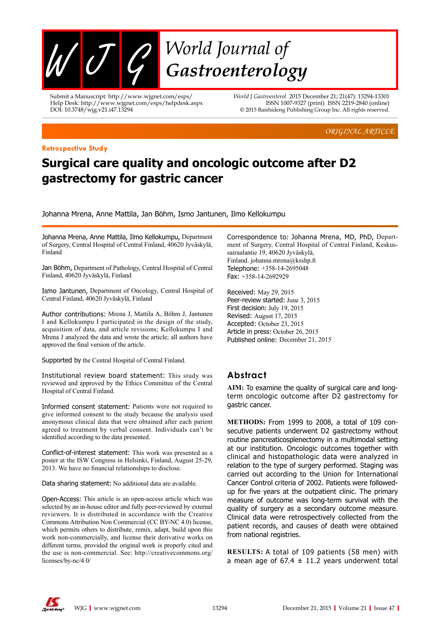

Submit a Manuscript: http://www.wjgnet.com/esps/ Help Desk: http://www.wjgnet.com/esps/helpdesk.aspx DOI: 10.3748/wjg.v21.i47.13294

*World J Gastroenterol* 2015 December 21; 21(47): 13294-13301 ISSN 1007-9327 (print) ISSN 2219-2840 (online) © 2015 Baishideng Publishing Group Inc. All rights reserved.

*ORIGINAL ARTICLE*

#### **Retrospective Study**

# **Surgical care quality and oncologic outcome after D2 gastrectomy for gastric cancer**

Johanna Mrena, Anne Mattila, Jan Böhm, Ismo Jantunen, Ilmo Kellokumpu

Johanna Mrena, Anne Mattila, Ilmo Kellokumpu, Department of Surgery, Central Hospital of Central Finland, 40620 Jyväskylä, Finland

Jan Böhm, Department of Pathology, Central Hospital of Central Finland, 40620 Jyväskylä, Finland

Ismo Jantunen, Department of Oncology, Central Hospital of Central Finland, 40620 Jyväskylä, Finland

Author contributions: Mrena J, Mattila A, Böhm J, Jantunen I and Kellokumpu I participated in the design of the study, acquisition of data, and article revisions; Kellokumpu I and Mrena J analyzed the data and wrote the article; all authors have approved the final version of the article.

Supported by the Central Hospital of Central Finland.

Institutional review board statement: This study was reviewed and approved by the Ethics Committee of the Central Hospital of Central Finland.

Informed consent statement: Patients were not required to give informed consent to the study because the analysis used anonymous clinical data that were obtained after each patient agreed to treatment by verbal consent. Individuals can't be identified according to the data presented.

Conflict-of-interest statement: This work was presented as a poster at the ISW Congress in Helsinki, Finland, August 25-29, 2013. We have no financial relationships to disclose.

Data sharing statement: No additional data are available.

Open-Access: This article is an open-access article which was selected by an in-house editor and fully peer-reviewed by external reviewers. It is distributed in accordance with the Creative Commons Attribution Non Commercial (CC BY-NC 4.0) license, which permits others to distribute, remix, adapt, build upon this work non-commercially, and license their derivative works on different terms, provided the original work is properly cited and the use is non-commercial. See: http://creativecommons.org/ licenses/by-nc/4.0/

Correspondence to: Johanna Mrena, MD, PhD, Department of Surgery, Central Hospital of Central Finland, Keskussairaalantie 19, 40620 Jyväskylä, Finland. johanna.mrena@ksshp.fi Telephone: +358-14-2695048 Fax: +358-14-2692929

Received: May 29, 2015 Peer-review started: June 3, 2015 First decision: July 19, 2015 Revised: August 17, 2015 Accepted: October 23, 2015 Article in press: October 26, 2015 Published online: December 21, 2015

# **Abstract**

**AIM:** To examine the quality of surgical care and longterm oncologic outcome after D2 gastrectomy for gastric cancer.

**METHODS:** From 1999 to 2008, a total of 109 consecutive patients underwent D2 gastrectomy without routine pancreaticosplenectomy in a multimodal setting at our institution. Oncologic outcomes together with clinical and histopathologic data were analyzed in relation to the type of surgery performed. Staging was carried out according to the Union for International Cancer Control criteria of 2002. Patients were followedup for five years at the outpatient clinic. The primary measure of outcome was long-term survival with the quality of surgery as a secondary outcome measure. Clinical data were retrospectively collected from the patient records, and causes of death were obtained from national registries.

**RESULTS:** A total of 109 patients (58 men) with a mean age of  $67.4 \pm 11.2$  years underwent total

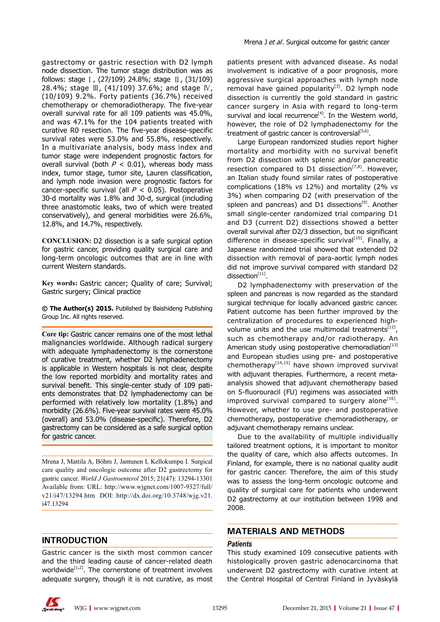gastrectomy or gastric resection with D2 lymph node dissection. The tumor stage distribution was as follows: stage Ⅰ, (27/109) 24.8%; stage Ⅱ, (31/109) 28.4%; stage Ⅲ, (41/109) 37.6%; and stage Ⅳ, (10/109) 9.2%. Forty patients (36.7%) received chemotherapy or chemoradiotherapy. The five-year overall survival rate for all 109 patients was 45.0%, and was 47.1% for the 104 patients treated with curative R0 resection. The five-year disease-specific survival rates were 53.0% and 55.8%, respectively. In a multivariate analysis, body mass index and tumor stage were independent prognostic factors for overall survival (both  $P < 0.01$ ), whereas body mass index, tumor stage, tumor site, Lauren classification, and lymph node invasion were prognostic factors for cancer-specific survival (all  $P < 0.05$ ). Postoperative 30-d mortality was 1.8% and 30-d, surgical (including three anastomotic leaks, two of which were treated conservatively), and general morbidities were 26.6%, 12.8%, and 14.7%, respectively.

**CONCLUSION:** D2 dissection is a safe surgical option for gastric cancer, providing quality surgical care and long-term oncologic outcomes that are in line with current Western standards.

**Key words:** Gastric cancer; Quality of care; Survival; Gastric surgery; Clinical practice

**© The Author(s) 2015.** Published by Baishideng Publishing Group Inc. All rights reserved.

**Core tip:** Gastric cancer remains one of the most lethal malignancies worldwide. Although radical surgery with adequate lymphadenectomy is the cornerstone of curative treatment, whether D2 lymphadenectomy is applicable in Western hospitals is not clear, despite the low reported morbidity and mortality rates and survival benefit. This single-center study of 109 patients demonstrates that D2 lymphadenectomy can be performed with relatively low mortality (1.8%) and morbidity (26.6%). Five-year survival rates were 45.0% (overall) and 53.0% (disease-specific). Therefore, D2 gastrectomy can be considered as a safe surgical option for gastric cancer.

Mrena J, Mattila A, Böhm J, Jantunen I, Kellokumpu I. Surgical care quality and oncologic outcome after D2 gastrectomy for gastric cancer. *World J Gastroenterol* 2015; 21(47): 13294-13301 Available from: URL: http://www.wjgnet.com/1007-9327/full/ v21/i47/13294.htm DOI: http://dx.doi.org/10.3748/wjg.v21. i47.13294

### **INTRODUCTION**

Gastric cancer is the sixth most common cancer and the third leading cause of cancer-related death worldwide $[1,2]$ . The cornerstone of treatment involves adequate surgery, though it is not curative, as most patients present with advanced disease. As nodal involvement is indicative of a poor prognosis, more aggressive surgical approaches with lymph node removal have gained popularity $[3]$ . D2 lymph node dissection is currently the gold standard in gastric cancer surgery in Asia with regard to long-term survival and local recurrence<sup>[4]</sup>. In the Western world, however, the role of D2 lymphadenectomy for the treatment of gastric cancer is controversial $[5,6]$ .

Large European randomized studies report higher mortality and morbidity with no survival benefit from D2 dissection with splenic and/or pancreatic resection compared to D1 dissection<sup>[7,8]</sup>. However, an Italian study found similar rates of postoperative complications (18% *vs* 12%) and mortality (2% *vs* 3%) when comparing D2 (with preservation of the spleen and pancreas) and D1 dissections<sup>[9]</sup>. Another small single-center randomized trial comparing D1 and D3 (current D2) dissections showed a better overall survival after D2/3 dissection, but no significant difference in disease-specific survival<sup>[10]</sup>. Finally, a Japanese randomized trial showed that extended D2 dissection with removal of para-aortic lymph nodes did not improve survival compared with standard D2 dissection $[11]$ .

D2 lymphadenectomy with preservation of the spleen and pancreas is now regarded as the standard surgical technique for locally advanced gastric cancer. Patient outcome has been further improved by the centralization of procedures to experienced highvolume units and the use multimodal treatments<sup>[12]</sup>, such as chemotherapy and/or radiotherapy. An American study using postoperative chemoradiation<sup>[13]</sup> and European studies using pre- and postoperative chemotherapy<sup>[14,15]</sup> have shown improved survival with adjuvant therapies. Furthermore, a recent metaanalysis showed that adjuvant chemotherapy based on 5-fluorouracil (FU) regimens was associated with improved survival compared to surgery alone $[16]$ . However, whether to use pre- and postoperative chemotherapy, postoperative chemoradiotherapy, or adjuvant chemotherapy remains unclear.

Due to the availability of multiple individually tailored treatment options, it is important to monitor the quality of care, which also affects outcomes. In Finland, for example, there is no national quality audit for gastric cancer. Therefore, the aim of this study was to assess the long-term oncologic outcome and quality of surgical care for patients who underwent D2 gastrectomy at our institution between 1998 and 2008.

## **MATERIALS AND METHODS**

#### *Patients*

This study examined 109 consecutive patients with histologically proven gastric adenocarcinoma that underwent D2 gastrectomy with curative intent at the Central Hospital of Central Finland in Jyväskylä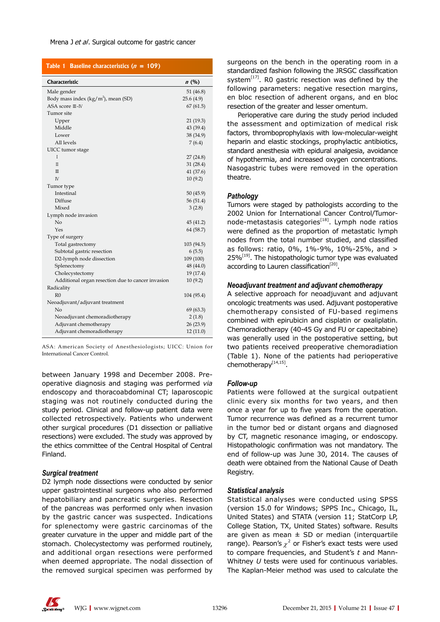#### Mrena J et al. Surgical outcome for gastric cancer

#### Table 1 Baseline characteristics  $(n = 109)$

| Characteristic<br>n(%)<br>Male gender<br>51 $(46.8)$<br>Body mass index $(kg/m2)$ , mean (SD)<br>25.6(4.9)<br>ASA score III-IV<br>67(61.5)<br>Tumor site<br>Upper<br>21 (19.3)<br>Middle<br>43 (39.4)<br>38 (34.9)<br>Lower<br>All levels<br>7(6.4)<br>UICC tumor stage<br>$\mathbf{I}$<br>27(24.8)<br>$\Pi$<br>31(28.4)<br>41 (37.6)<br>Ш<br>10(9.2)<br>IV<br>Tumor type<br>Intestinal<br>50(45.9)<br>Diffuse<br>56(51.4)<br>Mixed<br>3(2.8)<br>Lymph node invasion<br>No<br>45 (41.2)<br>Yes<br>64 (58.7)<br>Type of surgery<br>Total gastrectomy<br>103 (94.5)<br>Subtotal gastric resection<br>6(5.5)<br>D2-lymph node dissection<br>109 (100)<br>Splenectomy<br>48 (44.0)<br>Cholecystectomy<br>19 (17.4)<br>Additional organ resection due to cancer invasion<br>10(9.2)<br>Radicality<br>R <sub>0</sub><br>104 (95.4) |                                |  |
|------------------------------------------------------------------------------------------------------------------------------------------------------------------------------------------------------------------------------------------------------------------------------------------------------------------------------------------------------------------------------------------------------------------------------------------------------------------------------------------------------------------------------------------------------------------------------------------------------------------------------------------------------------------------------------------------------------------------------------------------------------------------------------------------------------------------------|--------------------------------|--|
|                                                                                                                                                                                                                                                                                                                                                                                                                                                                                                                                                                                                                                                                                                                                                                                                                              |                                |  |
|                                                                                                                                                                                                                                                                                                                                                                                                                                                                                                                                                                                                                                                                                                                                                                                                                              |                                |  |
|                                                                                                                                                                                                                                                                                                                                                                                                                                                                                                                                                                                                                                                                                                                                                                                                                              |                                |  |
|                                                                                                                                                                                                                                                                                                                                                                                                                                                                                                                                                                                                                                                                                                                                                                                                                              |                                |  |
|                                                                                                                                                                                                                                                                                                                                                                                                                                                                                                                                                                                                                                                                                                                                                                                                                              |                                |  |
|                                                                                                                                                                                                                                                                                                                                                                                                                                                                                                                                                                                                                                                                                                                                                                                                                              |                                |  |
|                                                                                                                                                                                                                                                                                                                                                                                                                                                                                                                                                                                                                                                                                                                                                                                                                              |                                |  |
|                                                                                                                                                                                                                                                                                                                                                                                                                                                                                                                                                                                                                                                                                                                                                                                                                              |                                |  |
|                                                                                                                                                                                                                                                                                                                                                                                                                                                                                                                                                                                                                                                                                                                                                                                                                              |                                |  |
|                                                                                                                                                                                                                                                                                                                                                                                                                                                                                                                                                                                                                                                                                                                                                                                                                              |                                |  |
|                                                                                                                                                                                                                                                                                                                                                                                                                                                                                                                                                                                                                                                                                                                                                                                                                              |                                |  |
|                                                                                                                                                                                                                                                                                                                                                                                                                                                                                                                                                                                                                                                                                                                                                                                                                              |                                |  |
|                                                                                                                                                                                                                                                                                                                                                                                                                                                                                                                                                                                                                                                                                                                                                                                                                              |                                |  |
|                                                                                                                                                                                                                                                                                                                                                                                                                                                                                                                                                                                                                                                                                                                                                                                                                              |                                |  |
|                                                                                                                                                                                                                                                                                                                                                                                                                                                                                                                                                                                                                                                                                                                                                                                                                              |                                |  |
|                                                                                                                                                                                                                                                                                                                                                                                                                                                                                                                                                                                                                                                                                                                                                                                                                              |                                |  |
|                                                                                                                                                                                                                                                                                                                                                                                                                                                                                                                                                                                                                                                                                                                                                                                                                              |                                |  |
|                                                                                                                                                                                                                                                                                                                                                                                                                                                                                                                                                                                                                                                                                                                                                                                                                              |                                |  |
|                                                                                                                                                                                                                                                                                                                                                                                                                                                                                                                                                                                                                                                                                                                                                                                                                              |                                |  |
|                                                                                                                                                                                                                                                                                                                                                                                                                                                                                                                                                                                                                                                                                                                                                                                                                              |                                |  |
|                                                                                                                                                                                                                                                                                                                                                                                                                                                                                                                                                                                                                                                                                                                                                                                                                              |                                |  |
|                                                                                                                                                                                                                                                                                                                                                                                                                                                                                                                                                                                                                                                                                                                                                                                                                              |                                |  |
|                                                                                                                                                                                                                                                                                                                                                                                                                                                                                                                                                                                                                                                                                                                                                                                                                              |                                |  |
|                                                                                                                                                                                                                                                                                                                                                                                                                                                                                                                                                                                                                                                                                                                                                                                                                              |                                |  |
|                                                                                                                                                                                                                                                                                                                                                                                                                                                                                                                                                                                                                                                                                                                                                                                                                              |                                |  |
|                                                                                                                                                                                                                                                                                                                                                                                                                                                                                                                                                                                                                                                                                                                                                                                                                              |                                |  |
|                                                                                                                                                                                                                                                                                                                                                                                                                                                                                                                                                                                                                                                                                                                                                                                                                              |                                |  |
|                                                                                                                                                                                                                                                                                                                                                                                                                                                                                                                                                                                                                                                                                                                                                                                                                              |                                |  |
|                                                                                                                                                                                                                                                                                                                                                                                                                                                                                                                                                                                                                                                                                                                                                                                                                              |                                |  |
|                                                                                                                                                                                                                                                                                                                                                                                                                                                                                                                                                                                                                                                                                                                                                                                                                              |                                |  |
|                                                                                                                                                                                                                                                                                                                                                                                                                                                                                                                                                                                                                                                                                                                                                                                                                              | Neoadjuvant/adjuvant treatment |  |
| Nο<br>69 (63.3)                                                                                                                                                                                                                                                                                                                                                                                                                                                                                                                                                                                                                                                                                                                                                                                                              |                                |  |
| Neoadjuvant chemoradiotherapy<br>2(1.8)                                                                                                                                                                                                                                                                                                                                                                                                                                                                                                                                                                                                                                                                                                                                                                                      |                                |  |
| Adjuvant chemotherapy<br>26(23.9)                                                                                                                                                                                                                                                                                                                                                                                                                                                                                                                                                                                                                                                                                                                                                                                            |                                |  |
| Adjuvant chemoradiotherapy<br>12(11.0)                                                                                                                                                                                                                                                                                                                                                                                                                                                                                                                                                                                                                                                                                                                                                                                       |                                |  |

ASA: American Society of Anesthesiologists; UICC: Union for International Cancer Control.

between January 1998 and December 2008. Preoperative diagnosis and staging was performed *via* endoscopy and thoracoabdominal CT; laparoscopic staging was not routinely conducted during the study period. Clinical and follow-up patient data were collected retrospectively. Patients who underwent other surgical procedures (D1 dissection or palliative resections) were excluded. The study was approved by the ethics committee of the Central Hospital of Central Finland.

#### *Surgical treatment*

D2 lymph node dissections were conducted by senior upper gastrointestinal surgeons who also performed hepatobiliary and pancreatic surgeries. Resection of the pancreas was performed only when invasion by the gastric cancer was suspected. Indications for splenectomy were gastric carcinomas of the greater curvature in the upper and middle part of the stomach. Cholecystectomy was performed routinely, and additional organ resections were performed when deemed appropriate. The nodal dissection of the removed surgical specimen was performed by surgeons on the bench in the operating room in a standardized fashion following the JRSGC classification system $^{[17]}$ . R0 gastric resection was defined by the following parameters: negative resection margins, en bloc resection of adherent organs, and en bloc resection of the greater and lesser omentum.

Perioperative care during the study period included the assessment and optimization of medical risk factors, thromboprophylaxis with low-molecular-weight heparin and elastic stockings, prophylactic antibiotics, standard anesthesia with epidural analgesia, avoidance of hypothermia, and increased oxygen concentrations. Nasogastric tubes were removed in the operation theatre.

#### *Pathology*

Tumors were staged by pathologists according to the 2002 Union for International Cancer Control/Tumornode-metastasis categories<sup>[18]</sup>. Lymph node ratios were defined as the proportion of metastatic lymph nodes from the total number studied, and classified as follows: ratio, 0%, 1%-9%, 10%-25%, and >  $25\%$ <sup>[19]</sup>. The histopathologic tumor type was evaluated according to Lauren classification<sup>[20]</sup>.

#### *Neoadjuvant treatment and adjuvant chemotherapy*

A selective approach for neoadjuvant and adjuvant oncologic treatments was used. Adjuvant postoperative chemotherapy consisted of FU-based regimens combined with epirubicin and cisplatin or oxaliplatin. Chemoradiotherapy (40-45 Gy and FU or capecitabine) was generally used in the postoperative setting, but two patients received preoperative chemoradiation (Table 1). None of the patients had perioperative chemotherapy<sup>[14,15]</sup>.

#### *Follow-up*

Patients were followed at the surgical outpatient clinic every six months for two years, and then once a year for up to five years from the operation. Tumor recurrence was defined as a recurrent tumor in the tumor bed or distant organs and diagnosed by CT, magnetic resonance imaging, or endoscopy. Histopathologic confirmation was not mandatory. The end of follow-up was June 30, 2014. The causes of death were obtained from the National Cause of Death Registry.

#### *Statistical analysis*

Statistical analyses were conducted using SPSS (version 15.0 for Windows; SPPS Inc., Chicago, IL, United States) and STATA (version 11; StatCorp LP, College Station, TX, United States) software. Results are given as mean  $\pm$  SD or median (interquartile range). Pearson's  $\chi^2$  or Fisher's exact tests were used to compare frequencies, and Student's *t* and Mann-Whitney *U* tests were used for continuous variables. The Kaplan-Meier method was used to calculate the

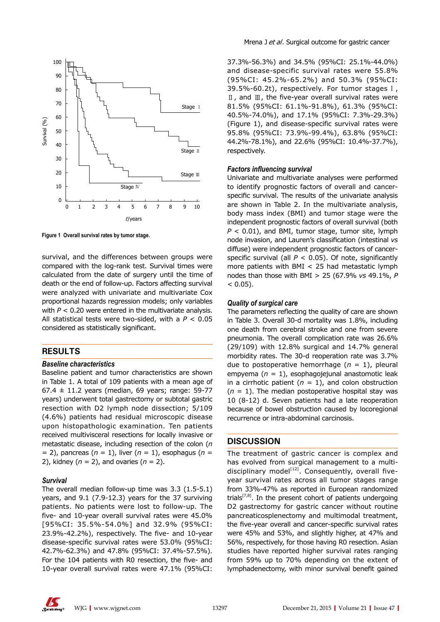

**Figure 1 Overall survival rates by tumor stage.**

survival, and the differences between groups were compared with the log-rank test. Survival times were calculated from the date of surgery until the time of death or the end of follow-up. Factors affecting survival were analyzed with univariate and multivariate Cox proportional hazards regression models; only variables with *P* < 0.20 were entered in the multivariate analysis. All statistical tests were two-sided, with a *P* < 0.05 considered as statistically significant.

# **RESULTS**

#### *Baseline characteristics*

Baseline patient and tumor characteristics are shown in Table 1. A total of 109 patients with a mean age of 67.4 ± 11.2 years (median, 69 years; range: 59-77 years) underwent total gastrectomy or subtotal gastric resection with D2 lymph node dissection; 5/109 (4.6%) patients had residual microscopic disease upon histopathologic examination. Ten patients received multivisceral resections for locally invasive or metastatic disease, including resection of the colon (*n*  = 2), pancreas (*n* = 1), liver (*n* = 1), esophagus (*n* = 2), kidney (*n* = 2), and ovaries (*n* = 2).

#### *Survival*

The overall median follow-up time was 3.3 (1.5-5.1) years, and 9.1 (7.9-12.3) years for the 37 surviving patients. No patients were lost to follow-up. The five- and 10-year overall survival rates were 45.0% [95%CI: 35.5%-54.0%] and 32.9% (95%CI: 23.9%-42.2%), respectively. The five- and 10-year disease-specific survival rates were 53.0% (95%CI: 42.7%-62.3%) and 47.8% (95%CI: 37.4%-57.5%). For the 104 patients with R0 resection, the five- and 10-year overall survival rates were 47.1% (95%CI:

37.3%-56.3%) and 34.5% (95%CI: 25.1%-44.0%) and disease-specific survival rates were 55.8% (95%CI: 45.2%-65.2%) and 50.3% (95%CI: 39.5%-60.2t), respectively. For tumor stages Ⅰ, Ⅱ, and Ⅲ, the five-year overall survival rates were 81.5% (95%CI: 61.1%-91.8%), 61.3% (95%CI: 40.5%-74.0%), and 17.1% (95%CI: 7.3%-29.3%) (Figure 1), and disease-specific survival rates were 95.8% (95%CI: 73.9%-99.4%), 63.8% (95%CI: 44.2%-78.1%), and 22.6% (95%CI: 10.4%-37.7%), respectively.

#### *Factors influencing survival*

Univariate and multivariate analyses were performed to identify prognostic factors of overall and cancerspecific survival. The results of the univariate analysis are shown in Table 2. In the multivariate analysis, body mass index (BMI) and tumor stage were the independent prognostic factors of overall survival (both  $P < 0.01$ ), and BMI, tumor stage, tumor site, lymph node invasion, and Lauren's classification (intestinal *vs* diffuse) were independent prognostic factors of cancerspecific survival (all  $P < 0.05$ ). Of note, significantly more patients with BMI  $<$  25 had metastatic lymph nodes than those with BMI > 25 (67.9% *vs* 49.1%, *P*   $< 0.05$ ).

#### *Quality of surgical care*

The parameters reflecting the quality of care are shown in Table 3. Overall 30-d mortality was 1.8%, including one death from cerebral stroke and one from severe pneumonia. The overall complication rate was 26.6% (29/109) with 12.8% surgical and 14.7% general morbidity rates. The 30-d reoperation rate was 3.7% due to postoperative hemorrhage (*n* = 1), pleural empyema (*n* = 1), esophagojejunal anastomotic leak in a cirrhotic patient  $(n = 1)$ , and colon obstruction  $(n = 1)$ . The median postoperative hospital stay was 10 (8-12) d. Seven patients had a late reoperation because of bowel obstruction caused by locoregional recurrence or intra-abdominal carcinosis.

## **DISCUSSION**

The treatment of gastric cancer is complex and has evolved from surgical management to a multidisciplinary model $[12]$ . Consequently, overall fiveyear survival rates across all tumor stages range from 33%-47% as reported in European randomized trials<sup>[7,8]</sup>. In the present cohort of patients undergoing D2 gastrectomy for gastric cancer without routine pancreaticosplenectomy and multimodal treatment, the five-year overall and cancer-specific survival rates were 45% and 53%, and slightly higher, at 47% and 56%, respectively, for those having R0 resection. Asian studies have reported higher survival rates ranging from 59% up to 70% depending on the extent of lymphadenectomy, with minor survival benefit gained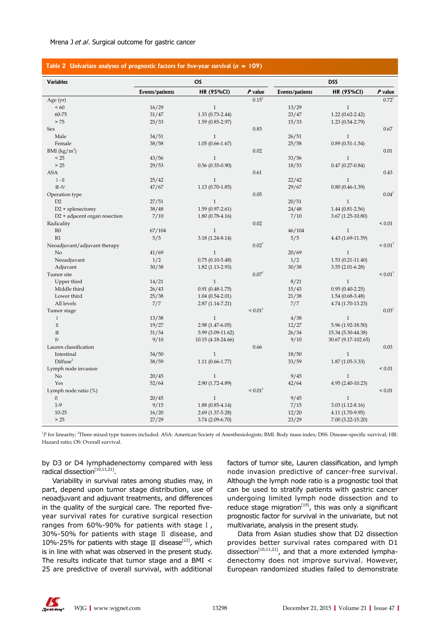#### Mrena J et al. Surgical outcome for gastric cancer

| Table 2 Univariate analyses of prognostic factors for five-year survival ( $n = 109$ ) |  |  |  |  |
|----------------------------------------------------------------------------------------|--|--|--|--|
|                                                                                        |  |  |  |  |

| <b>Variables</b>                |                 | <b>OS</b>           |                   | <b>DSS</b>      |                      |                   |
|---------------------------------|-----------------|---------------------|-------------------|-----------------|----------------------|-------------------|
|                                 | Events/patients | <b>HR (95%CI)</b>   | $P$ value         | Events/patients | <b>HR (95%CI)</b>    | $P$ value         |
| Age $(yr)$                      |                 |                     | $0.15^1$          |                 |                      | $0.72^1$          |
| < 60                            | 16/29           | $\mathbf{1}$        |                   | 13/29           | $\mathbf{1}$         |                   |
| 60-75                           | 31/47           | $1.33(0.73 - 2.44)$ |                   | 23/47           | $1.22(0.62 - 2.42)$  |                   |
| $>75$                           | 25/33           | $1.59(0.85-2.97)$   |                   | 15/33           | $1.23(0.54-2.79)$    |                   |
| Sex                             |                 |                     | 0.83              |                 |                      | 0.67              |
| Male                            | 34/51           | $\mathbf{1}$        |                   | 26/51           | $\mathbf{1}$         |                   |
| Female                          | 38/58           | $1.05(0.66 - 1.67)$ |                   | 25/58           | $0.89(0.51-1.54)$    |                   |
| BMI $(kg/m^2)$                  |                 |                     | 0.02              |                 |                      | 0.01              |
| < 25                            | 43/56           | $\mathbf{1}$        |                   | 33/56           | $\mathbf{1}$         |                   |
| $>25$                           | 29/53           | $0.56(0.35-0.90)$   |                   | 18/53           | $0.47(0.27-0.84)$    |                   |
| <b>ASA</b>                      |                 |                     | 0.61              |                 |                      | 0.43              |
| $I-I$                           | 25/42           | $\mathbf{1}$        |                   | 22/42           | $\mathbf{1}$         |                   |
| $III - IV$                      | 47/67           | $1.13(0.70-1.85)$   |                   | 29/67           | $0.80(0.46-1.39)$    |                   |
| Operation type                  |                 |                     | 0.05              |                 |                      | 0.04 <sup>1</sup> |
| D2                              | 27/51           | $\mathbf{1}$        |                   | 20/51           | $\mathbf{1}$         |                   |
| $D2 + s$ plenectomy             | 38/48           | $1.59(0.97-2.61)$   |                   | 24/48           | $1.44(0.81 - 2.56)$  |                   |
| $D2$ + adjacent organ resection | 7/10            | $1.80(0.78-4.16)$   |                   | 7/10            | 3.67 (1.25-10.80)    |                   |
| Radicality                      |                 |                     | 0.02              |                 |                      | ${}_{0.01}$       |
| R <sub>0</sub>                  | 67/104          | $\mathbf{1}$        |                   | 46/104          | $\mathbf{1}$         |                   |
| R1                              | 5/5             | $3.18(1.24 - 8.14)$ |                   | 5/5             | 4.43 (1.69-11.59)    |                   |
| Neoadjuvant/adjuvant therapy    |                 |                     | $0.02^1$          |                 |                      | $\leq 0.01^1$     |
| N <sub>o</sub>                  | 41/69           | $\mathbf{1}$        |                   | 20/69           | $\mathbf{1}$         |                   |
| Neoadjuvant                     | 1/2             | $0.75(0.10-5.48)$   |                   | 1/2             | $1.53(0.21 - 11.40)$ |                   |
| Adjuvant                        | 30/38           | $1.82(1.13-2.93)$   |                   | 30/38           | $3.55(2.01-6.28)$    |                   |
| Tumor site                      |                 |                     | 0.07 <sup>1</sup> |                 |                      | $\leq 0.01^1$     |
| Upper third                     | 14/21           | $\mathbf{1}$        |                   | 8/21            | $\mathbf{1}$         |                   |
| Middle third                    | 26/43           | $0.91(0.48-1.75)$   |                   | 15/43           | $0.95(0.40-2.25)$    |                   |
| Lower third                     | 25/38           | $1.04(0.54 - 2.01)$ |                   | 21/38           | $1.54(0.68-3.48)$    |                   |
| All levels                      | 7/7             | $2.87(1.14 - 7.21)$ |                   | 7/7             | 4.74 (1.70-13.23)    |                   |
| Tumor stage                     |                 |                     | $\leq 0.01^1$     |                 |                      | 0.03 <sup>1</sup> |
| $\mathbf I$                     | 13/38           | $\mathbf{1}$        |                   | 4/38            | $\mathbf{1}$         |                   |
| $\rm{II}$                       | 19/27           | $2.98(1.47-6.05)$   |                   | 12/27           | 5.96 (1.92-18.50)    |                   |
| $\scriptstyle\rm III$           | 31/34           | 5.99 (3.09-11.62)   |                   | 26/34           | 15.34 (5.30-44.38)   |                   |
| $\mathbb{N}$                    | 9/10            | 10.15 (4.18-24.66)  |                   | 9/10            | 30.67 (9.17-102.65)  |                   |
| Lauren classification           |                 |                     | 0.66              |                 |                      | 0.03              |
| Intestinal                      | 34/50           | $\mathbf{1}$        |                   | 18/50           | $\mathbf{1}$         |                   |
| Diffuse <sup>2</sup>            | 38/59           | $1.11(0.66 - 1.77)$ |                   | 33/59           | $1.87(1.05-3.33)$    |                   |
| Lymph node invasion             |                 |                     |                   |                 |                      | ${}_{0.01}$       |
| N <sub>o</sub>                  | 20/45           | $\mathbf{1}$        |                   | 9/45            | $\mathbf{1}$         |                   |
| Yes                             | 52/64           | 2.90 (1.72-4.89)    |                   | 42/64           | 4.95 (2.40-10.23)    |                   |
| Lymph node ratio (%)            |                 |                     | $\leq 0.01^1$     |                 |                      | ${}_{0.01}$       |
| $\mathbf{0}$                    | 20/45           | $\mathbf{1}$        |                   | 9/45            | $\mathbf{1}$         |                   |
| $1-9$                           | 9/15            | $1.88(0.85-4.14)$   |                   | 7/15            | $3.03(1.12-8.16)$    |                   |
| $10 - 25$                       | 16/20           | 2.69 (1.37-5.28)    |                   | 12/20           | 4.11 (1.70-9.95)     |                   |
| > 25                            | 27/29           | 3.74 (2.09-6.70)    |                   | 23/29           | 7.00 (3.22-15.20)    |                   |
|                                 |                 |                     |                   |                 |                      |                   |

<sup>1</sup>P for linearity; <sup>2</sup>Three mixed type tumors included. ASA: American Society of Anesthesiologists; BMI: Body mass index; DSS: Disease-specific survival; HR: Hazard ratio; OS: Overall survival.

by D3 or D4 lymphadenectomy compared with less radical dissection $^{[10,11,21]}$ .

Variability in survival rates among studies may, in part, depend upon tumor stage distribution, use of neoadjuvant and adjuvant treatments, and differences in the quality of the surgical care. The reported fiveyear survival rates for curative surgical resection ranges from 60%-90% for patients with stage Ⅰ, 30%-50% for patients with stage Ⅱ disease, and 10%-25% for patients with stage Ⅲ disease<sup>[22]</sup>, which is in line with what was observed in the present study. The results indicate that tumor stage and a BMI < 25 are predictive of overall survival, with additional

factors of tumor site, Lauren classification, and lymph node invasion predictive of cancer-free survival. Although the lymph node ratio is a prognostic tool that can be used to stratify patients with gastric cancer undergoing limited lymph node dissection and to reduce stage migration<sup>[19]</sup>, this was only a significant prognostic factor for survival in the univariate, but not multivariate, analysis in the present study.

Data from Asian studies show that D2 dissection provides better survival rates compared with D1 dissection<sup>[10,11,21]</sup>, and that a more extended lymphadenectomy does not improve survival. However, European randomized studies failed to demonstrate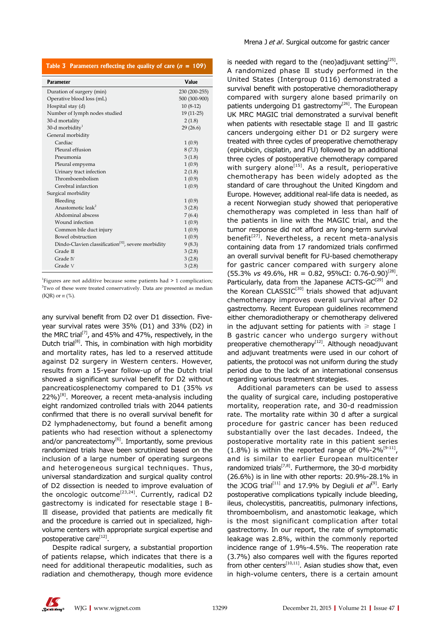| Table 3 Parameters reflecting the quality of care $(n = 109)$ |  |  |  |  |
|---------------------------------------------------------------|--|--|--|--|
|---------------------------------------------------------------|--|--|--|--|

| <b>Parameter</b>                                                | Value         |
|-----------------------------------------------------------------|---------------|
| Duration of surgery (min)                                       | 230 (200-255) |
| Operative blood loss (mL)                                       | 500 (300-900) |
| Hospital stay (d)                                               | $10(8-12)$    |
| Number of lymph nodes studied                                   | $19(11-25)$   |
| 30-d mortality                                                  | 2(1.8)        |
| 30-d morbidity $1$                                              | 29(26.6)      |
| General morbidity                                               |               |
| Cardiac                                                         | 1(0.9)        |
| Pleural effusion                                                | 8(7.3)        |
| Pneumonia                                                       | 3(1.8)        |
| Pleural empyema                                                 | 1(0.9)        |
| Urinary tract infection                                         | 2(1.8)        |
| Thromboembolism                                                 | 1(0.9)        |
| Cerebral infarction                                             | 1(0.9)        |
| Surgical morbidity                                              |               |
| Bleeding                                                        | 1(0.9)        |
| Anastomotic leak <sup>2</sup>                                   | 3(2.8)        |
| Abdominal abscess                                               | 7(6.4)        |
| Wound infection                                                 | 1(0.9)        |
| Common bile duct injury                                         | 1(0.9)        |
| <b>Bowel</b> obstruction                                        | 1(0.9)        |
| Dindo-Clavien classification <sup>[32]</sup> , severe morbidity | 9(8.3)        |
| Grade $\mathbb I$                                               | 3(2.8)        |
| Grade IV                                                        | 3(2.8)        |
| Grade V                                                         | 3(2.8)        |

<sup>1</sup>Figures are not additive because some patients had  $> 1$  complication; <sup>2</sup>Two of these were treated conservatively. Data are presented as median (IQR) or *n* (%).

any survival benefit from D2 over D1 dissection. Fiveyear survival rates were 35% (D1) and 33% (D2) in the MRC trial<sup>[7]</sup>, and 45% and 47%, respectively, in the Dutch trial<sup>[8]</sup>. This, in combination with high morbidity and mortality rates, has led to a reserved attitude against D2 surgery in Western centers. However, results from a 15-year follow-up of the Dutch trial showed a significant survival benefit for D2 without pancreaticosplenectomy compared to D1 (35% *vs*  $22\%$ )<sup>[8]</sup>. Moreover, a recent meta-analysis including eight randomized controlled trials with 2044 patients confirmed that there is no overall survival benefit for D2 lymphadenectomy, but found a benefit among patients who had resection without a splenectomy and/or pancreatectomy $[6]$ . Importantly, some previous randomized trials have been scrutinized based on the inclusion of a large number of operating surgeons and heterogeneous surgical techniques. Thus, universal standardization and surgical quality control of D2 dissection is needed to improve evaluation of the oncologic outcome<sup>[23,24]</sup>. Currently, radical D2 gastrectomy is indicated for resectable stage ⅠB- Ⅲ disease, provided that patients are medically fit and the procedure is carried out in specialized, highvolume centers with appropriate surgical expertise and postoperative care[12].

Despite radical surgery, a substantial proportion of patients relapse, which indicates that there is a need for additional therapeutic modalities, such as radiation and chemotherapy, though more evidence is needed with regard to the (neo)adjuvant setting<sup>[25]</sup>. A randomized phase Ⅲ study performed in the United States (Intergroup 0116) demonstrated a survival benefit with postoperative chemoradiotherapy compared with surgery alone based primarily on patients undergoing D1 gastrectomy<sup>[26]</sup>. The European UK MRC MAGIC trial demonstrated a survival benefit when patients with resectable stage Ⅱ and Ⅲ gastric cancers undergoing either D1 or D2 surgery were treated with three cycles of preoperative chemotherapy (epirubicin, cisplatin, and FU) followed by an additional three cycles of postoperative chemotherapy compared with surgery alone<sup>[15]</sup>. As a result, perioperative chemotherapy has been widely adopted as the standard of care throughout the United Kingdom and Europe. However, additional real-life data is needed, as a recent Norwegian study showed that perioperative chemotherapy was completed in less than half of the patients in line with the MAGIC trial, and the tumor response did not afford any long-term survival benefit<sup>[27]</sup>. Nevertheless, a recent meta-analysis containing data from 17 randomized trials confirmed an overall survival benefit for FU-based chemotherapy for gastric cancer compared with surgery alone  $(55.3\% \text{ vs } 49.6\%$ , HR = 0.82, 95%CI: 0.76-0.90)<sup>[28]</sup>. Particularly, data from the Japanese ACTS- $GC^{[29]}$  and the Korean  $CLASSIC^{[30]}$  trials showed that adjuvant chemotherapy improves overall survival after D2 gastrectomy. Recent European guidelines recommend either chemoradiotherapy or chemotherapy delivered in the adjuvant setting for patients with  $\ge$  stage I B gastric cancer who undergo surgery without preoperative chemotherapy<sup>[12]</sup>. Although neoadjuvant and adjuvant treatments were used in our cohort of patients, the protocol was not uniform during the study period due to the lack of an international consensus regarding various treatment strategies.

Additional parameters can be used to assess the quality of surgical care, including postoperative mortality, reoperation rate, and 30-d readmission rate. The mortality rate within 30 d after a surgical procedure for gastric cancer has been reduced substantially over the last decades. Indeed, the postoperative mortality rate in this patient series  $(1.8\%)$  is within the reported range of 0%-2%<sup>[9-11]</sup>, and is similar to earlier European multicenter randomized trials<sup>[7,8]</sup>. Furthermore, the 30-d morbidity (26.6%) is in line with other reports: 20.9%-28.1% in the JCOG trial<sup>[11]</sup> and 17.9% by Degiuli *et al*<sup>[9]</sup>. Early postoperative complications typically include bleeding, ileus, cholecystitis, pancreatitis, pulmonary infections, thromboembolism, and anastomotic leakage, which is the most significant complication after total gastrectomy. In our report, the rate of symptomatic leakage was 2.8%, within the commonly reported incidence range of 1.9%-4.5%. The reoperation rate (3.7%) also compares well with the figures reported from other centers<sup>[10,11]</sup>. Asian studies show that, even in high-volume centers, there is a certain amount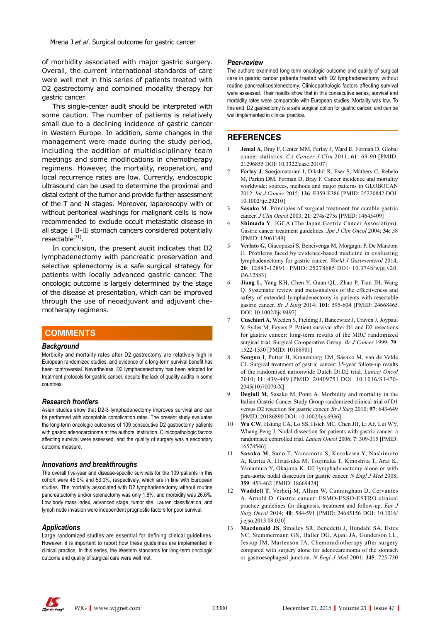of morbidity associated with major gastric surgery. Overall, the current international standards of care were well met in this series of patients treated with D2 gastrectomy and combined modality therapy for gastric cancer.

This single-center audit should be interpreted with some caution. The number of patients is relatively small due to a declining incidence of gastric cancer in Western Europe. In addition, some changes in the management were made during the study period, including the addition of multidisciplinary team meetings and some modifications in chemotherapy regimens. However, the mortality, reoperation, and local recurrence rates are low. Currently, endoscopic ultrasound can be used to determine the proximal and distal extent of the tumor and provide further assessment of the T and N stages. Moreover, laparoscopy with or without peritoneal washings for malignant cells is now recommended to exclude occult metastatic disease in all stage ⅠB-Ⅲ stomach cancers considered potentially  $resectable<sup>[31]</sup>$ .

In conclusion, the present audit indicates that D2 lymphadenectomy with pancreatic preservation and selective splenectomy is a safe surgical strategy for patients with locally advanced gastric cancer. The oncologic outcome is largely determined by the stage of the disease at presentation, which can be improved through the use of neoadjuvant and adjuvant chemotherapy regimens.

# **COMMENTS COMMENTS**

#### *Background*

Morbidity and mortality rates after D2 gastrectomy are relatively high in European randomized studies, and evidence of a long-term survival benefit has been controversial. Nevertheless, D2 lymphadenectomy has been adopted for treatment protocols for gastric cancer, despite the lack of quality audits in some countries.

#### *Research frontiers*

Asian studies show that D2-3 lymphadenectomy improves survival and can be performed with acceptable complication rates. The present study evaluates the long-term oncologic outcomes of 109 consecutive D2 gastrectomy patients with gastric adenocarcinoma at the authors' institution. Clinicopathologic factors affecting survival were assessed, and the quality of surgery was a secondary outcome measure.

#### *Innovations and breakthroughs*

The overall five-year and disease-specific survivals for the 109 patients in this cohort were 45.0% and 53.0%, respectively, which are in line with European studies. The mortality associated with D2 lymphadenectomy without routine pancreatectomy and/or splenectomy was only 1.8%, and morbidity was 26.6%. Low body mass index, advanced stage, tumor site, Lauren classification, and lymph node invasion were independent prognostic factors for poor survival.

#### *Applications*

Large randomized studies are essential for defining clinical guidelines. However, it is important to report how these guidelines are implemented in clinical practice. In this series, the Western standards for long-term oncologic outcome and quality of surgical care were well met.

#### *Peer-review*

The authors examined long-term oncologic outcome and quality of surgical care in gastric cancer patients treated with D2 lymphadenectomy without routine pancreaticosplenectomy. Clinicopathologic factors affecting survival were assessed. Their results show that in this consecutive series, survival and morbidity rates were comparable with European studies. Mortality was low. To this end, D2 gastrectomy is a safe surgical option for gastric cancer, and can be well implemented in clinical practice.

## **REFERENCES**

- 1 **Jemal A**, Bray F, Center MM, Ferlay J, Ward E, Forman D. Global cancer statistics. *CA Cancer J Clin* 2011; **61**: 69-90 [PMID: 21296855 DOI: 10.3322/caac.20107]
- 2 **Ferlay J**, Soerjomataram I, Dikshit R, Eser S, Mathers C, Rebelo M, Parkin DM, Forman D, Bray F. Cancer incidence and mortality worldwide: sources, methods and major patterns in GLOBOCAN 2012. *Int J Cancer* 2015; **136**: E359-E386 [PMID: 25220842 DOI: 10.1002/ijc.29210]
- 3 **Sasako M**. Principles of surgical treatment for curable gastric cancer. *J Clin Oncol* 2003; **21**: 274s-275s [PMID: 14645409]
- 4 **Shimada Y**. JGCA (The Japan Gastric Cancer Association). Gastric cancer treatment guidelines. *Jpn J Clin Oncol* 2004; **34**: 58 [PMID: 15061149]
- 5 **Verlato G**, Giacopuzzi S, Bencivenga M, Morgagni P, De Manzoni G. Problems faced by evidence-based medicine in evaluating lymphadenectomy for gastric cancer. *World J Gastroenterol* 2014; **20**: 12883-12891 [PMID: 25278685 DOI: 10.3748/wjg.v20. i36.12883]
- 6 **Jiang L**, Yang KH, Chen Y, Guan QL, Zhao P, Tian JH, Wang Q. Systematic review and meta-analysis of the effectiveness and safety of extended lymphadenectomy in patients with resectable gastric cancer. *Br J Surg* 2014; **101**: 595-604 [PMID: 24668465 DOI: 10.1002/bjs.9497]
- 7 **Cuschieri A**, Weeden S, Fielding J, Bancewicz J, Craven J, Joypaul V, Sydes M, Fayers P. Patient survival after D1 and D2 resections for gastric cancer: long-term results of the MRC randomized surgical trial. Surgical Co-operative Group. *Br J Cancer* 1999; **79**: 1522-1530 [PMID: 10188901]
- 8 **Songun I**, Putter H, Kranenbarg EM, Sasako M, van de Velde CJ. Surgical treatment of gastric cancer: 15-year follow-up results of the randomised nationwide Dutch D1D2 trial. *Lancet Oncol* 2010; **11**: 439-449 [PMID: 20409751 DOI: 10.1016/S1470- 2045(10)70070-X]
- **Degiuli M.** Sasako M. Ponti A. Morbidity and mortality in the Italian Gastric Cancer Study Group randomized clinical trial of D1 versus D2 resection for gastric cancer. *Br J Surg* 2010; **97**: 643-649 [PMID: 20186890 DOI: 10.1002/bjs.6936]
- 10 **Wu CW**, Hsiung CA, Lo SS, Hsieh MC, Chen JH, Li AF, Lui WY, Whang-Peng J. Nodal dissection for patients with gastric cancer: a randomised controlled trial. *Lancet Oncol* 2006; **7**: 309-315 [PMID: 16574546]
- Sasako M, Sano T, Yamamoto S, Kurokawa Y, Nashimoto A, Kurita A, Hiratsuka M, Tsujinaka T, Kinoshita T, Arai K, Yamamura Y, Okajima K. D2 lymphadenectomy alone or with para-aortic nodal dissection for gastric cancer. *N Engl J Med* 2008; **359**: 453-462 [PMID: 18669424]
- 12 **Waddell T**, Verheij M, Allum W, Cunningham D, Cervantes A, Arnold D. Gastric cancer: ESMO-ESSO-ESTRO clinical practice guidelines for diagnosis, treatment and follow-up. *Eur J Surg Oncol* 2014; **40**: 584-591 [PMID: 24685156 DOI: 10.1016/ j.ejso.2013.09.020]
- 13 **Macdonald JS**, Smalley SR, Benedetti J, Hundahl SA, Estes NC, Stemmermann GN, Haller DG, Ajani JA, Gunderson LL, Jessup JM, Martenson JA. Chemoradiotherapy after surgery compared with surgery alone for adenocarcinoma of the stomach or gastroesophageal junction. *N Engl J Med* 2001; **345**: 725-730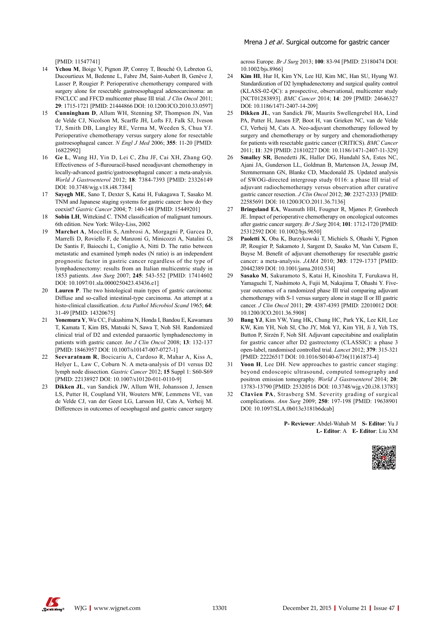[PMID: 11547741]

- 14 **Ychou M**, Boige V, Pignon JP, Conroy T, Bouché O, Lebreton G, Ducourtieux M, Bedenne L, Fabre JM, Saint-Aubert B, Genève J, Lasser P, Rougier P. Perioperative chemotherapy compared with surgery alone for resectable gastroesophageal adenocarcinoma: an FNCLCC and FFCD multicenter phase III trial. *J Clin Oncol* 2011; **29**: 1715-1721 [PMID: 21444866 DOI: 10.1200/JCO.2010.33.0597]
- 15 **Cunningham D**, Allum WH, Stenning SP, Thompson JN, Van de Velde CJ, Nicolson M, Scarffe JH, Lofts FJ, Falk SJ, Iveson TJ, Smith DB, Langley RE, Verma M, Weeden S, Chua YJ. Perioperative chemotherapy versus surgery alone for resectable gastroesophageal cancer. *N Engl J Med* 2006; **355**: 11-20 [PMID: 16822992]
- 16 **Ge L**, Wang HJ, Yin D, Lei C, Zhu JF, Cai XH, Zhang GQ. Effectiveness of 5-flurouracil-based neoadjuvant chemotherapy in locally-advanced gastric/gastroesophageal cancer: a meta-analysis. *World J Gastroenterol* 2012; **18**: 7384-7393 [PMID: 23326149 DOI: 10.3748/wjg.v18.i48.7384]
- 17 **Sayegh ME**, Sano T, Dexter S, Katai H, Fukagawa T, Sasako M. TNM and Japanese staging systems for gastric cancer: how do they coexist? *Gastric Cancer* 2004; **7**: 140-148 [PMID: 15449201]
- 18 **Sobin LH**, Wittekind C. TNM classification of malignant tumours. 6th edition. New York: Wiley-Liss, 2002
- 19 **Marchet A**, Mocellin S, Ambrosi A, Morgagni P, Garcea D, Marrelli D, Roviello F, de Manzoni G, Minicozzi A, Natalini G, De Santis F, Baiocchi L, Coniglio A, Nitti D. The ratio between metastatic and examined lymph nodes (N ratio) is an independent prognostic factor in gastric cancer regardless of the type of lymphadenectomy: results from an Italian multicentric study in 1853 patients. *Ann Surg* 2007; **245**: 543-552 [PMID: 17414602 DOI: 10.1097/01.sla.0000250423.43436.e1]
- 20 **Lauren P**. The two histological main types of gastric carcinoma: Diffuse and so-called intestinal-type carcinoma. An attempt at a histo-clinical classification. *Acta Pathol Microbiol Scand* 1965; **64**: 31-49 [PMID: 14320675]
- 21 **Yonemura Y**, Wu CC, Fukushima N, Honda I, Bandou E, Kawamura T, Kamata T, Kim BS, Matsuki N, Sawa T, Noh SH. Randomized clinical trial of D2 and extended paraaortic lymphadenectomy in patients with gastric cancer. *Int J Clin Oncol* 2008; **13**: 132-137 [PMID: 18463957 DOI: 10.1007/s10147-007-0727-1]
- 22 **Seevaratnam R**, Bocicariu A, Cardoso R, Mahar A, Kiss A, Helyer L, Law C, Coburn N. A meta-analysis of D1 versus D2 lymph node dissection. *Gastric Cancer* 2012; **15** Suppl 1: S60-S69 [PMID: 22138927 DOI: 10.1007/s10120-011-0110-9]
- 23 **Dikken JL**, van Sandick JW, Allum WH, Johansson J, Jensen LS, Putter H, Coupland VH, Wouters MW, Lemmens VE, van de Velde CJ, van der Geest LG, Larsson HJ, Cats A, Verheij M. Differences in outcomes of oesophageal and gastric cancer surgery

across Europe. *Br J Surg* 2013; **100**: 83-94 [PMID: 23180474 DOI: 10.1002/bjs.8966]

- 24 **Kim HI**, Hur H, Kim YN, Lee HJ, Kim MC, Han SU, Hyung WJ. Standardization of D2 lymphadenectomy and surgical quality control (KLASS-02-QC): a prospective, observational, multicenter study [NCT01283893]. *BMC Cancer* 2014; **14**: 209 [PMID: 24646327 DOI: 10.1186/1471-2407-14-209]
- 25 **Dikken JL**, van Sandick JW, Maurits Swellengrebel HA, Lind PA, Putter H, Jansen EP, Boot H, van Grieken NC, van de Velde CJ, Verheij M, Cats A. Neo-adjuvant chemotherapy followed by surgery and chemotherapy or by surgery and chemoradiotherapy for patients with resectable gastric cancer (CRITICS). *BMC Cancer* 2011; **11**: 329 [PMID: 21810227 DOI: 10.1186/1471-2407-11-329]
- 26 **Smalley SR**, Benedetti JK, Haller DG, Hundahl SA, Estes NC, Ajani JA, Gunderson LL, Goldman B, Martenson JA, Jessup JM, Stemmermann GN, Blanke CD, Macdonald JS. Updated analysis of SWOG-directed intergroup study 0116: a phase III trial of adjuvant radiochemotherapy versus observation after curative gastric cancer resection. *J Clin Oncol* 2012; **30**: 2327-2333 [PMID: 22585691 DOI: 10.1200/JCO.2011.36.7136]
- 27 **Bringeland EA**, Wasmuth HH, Fougner R, Mjønes P, Grønbech JE. Impact of perioperative chemotherapy on oncological outcomes after gastric cancer surgery. *Br J Surg* 2014; **101**: 1712-1720 [PMID: 25312592 DOI: 10.1002/bjs.9650]
- 28 **Paoletti X**, Oba K, Burzykowski T, Michiels S, Ohashi Y, Pignon JP, Rougier P, Sakamoto J, Sargent D, Sasako M, Van Cutsem E, Buyse M. Benefit of adjuvant chemotherapy for resectable gastric cancer: a meta-analysis. *JAMA* 2010; **303**: 1729-1737 [PMID: 20442389 DOI: 10.1001/jama.2010.534]
- 29 **Sasako M**, Sakuramoto S, Katai H, Kinoshita T, Furukawa H, Yamaguchi T, Nashimoto A, Fujii M, Nakajima T, Ohashi Y. Fiveyear outcomes of a randomized phase III trial comparing adjuvant chemotherapy with S-1 versus surgery alone in stage II or III gastric cancer. *J Clin Oncol* 2011; **29**: 4387-4393 [PMID: 22010012 DOI: 10.1200/JCO.2011.36.5908]
- Bang YJ, Kim YW, Yang HK, Chung HC, Park YK, Lee KH, Lee KW, Kim YH, Noh SI, Cho JY, Mok YJ, Kim YH, Ji J, Yeh TS, Button P, Sirzén F, Noh SH. Adjuvant capecitabine and oxaliplatin for gastric cancer after D2 gastrectomy (CLASSIC): a phase 3 open-label, randomised controlled trial. *Lancet* 2012; **379**: 315-321 [PMID: 22226517 DOI: 10.1016/S0140-6736(11)61873-4]
- 31 **Yoon H**, Lee DH. New approaches to gastric cancer staging: beyond endoscopic ultrasound, computed tomography and positron emission tomography. *World J Gastroenterol* 2014; **20**: 13783-13790 [PMID: 25320516 DOI: 10.3748/wjg.v20.i38.13783]
- 32 **Clavien PA**, Strasberg SM. Severity grading of surgical complications. *Ann Surg* 2009; **250**: 197-198 [PMID: 19638901 DOI: 10.1097/SLA.0b013e3181b6dcab]

**P- Reviewer**: Abdel-Wahab M **S- Editor**: Yu J **L- Editor**: A **E- Editor**: Liu XM